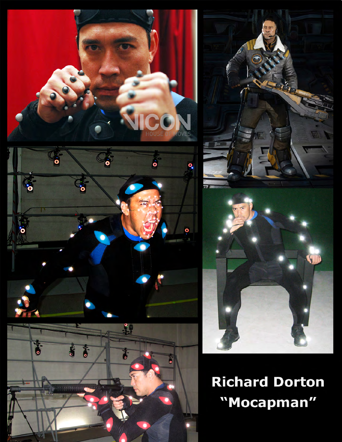





**Richard Dorton** "Mocapman"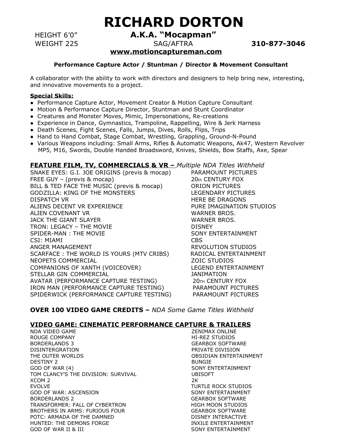# **RICHARD DORTON**

HEIGHT 6'0" **A.K.A. "Mocapman"** 

WEIGHT 225SAG/AFTRA **310-877-3046**

### **[www.motioncaptureman.com](http://www.motioncaptureman.com/)**

#### **Performance Capture Actor / Stuntman / Director & Movement Consultant**

A collaborator with the ability to work with directors and designers to help bring new, interesting, and innovative movements to a project.

#### **Special Skills:**

- Performance Capture Actor, Movement Creator & Motion Capture Consultant
- Motion & Performance Capture Director, Stuntman and Stunt Coordinator
- Creatures and Monster Moves, Mimic, Impersonations, Re-creations
- Experience in Dance, Gymnastics, Trampoline, Rappelling, Wire & Jerk Harness
- Death Scenes, Fight Scenes, Falls, Jumps, Dives, Rolls, Flips, Trips
- Hand to Hand Combat, Stage Combat, Wrestling, Grappling, Ground-N-Pound
- Various Weapons including: Small Arms, Rifles & Automatic Weapons, Ak47, Western Revolver MP5, M16, Swords, Double Handed Broadsword, Knives, Shields, Bow Staffs, Axe, Spear

#### **FEATURE FILM, TV, COMMERCIALS & VR –** *Multiple NDA Titles Withheld*

SNAKE EYES: G.I. JOE ORIGINS (previs & mocap) PARAMOUNT PICTURES FREE GUY – (previs & mocap) 20th CENTURY FOX BILL & TED FACE THE MUSIC (previs & mocap) ORION PICTURES GODZILLA: KING OF THE MONSTERS LEGENDARY PICTURES DISPATCH VR **HERE BE DRAGONS** ALIENS DECENT VR EXPERIENCE PURE IMAGINATION STUDIOS ALIEN COVENANT VR WALIEN WARNER BROS. JACK THE GIANT SLAYER WARNER BROS. TRON: LEGACY – THE MOVIE **Example 20 SET ASSESS** SPIDER-MAN : THE MOVIE SONY ENTERTAINMENT CSI: MIAMI CBS ANGER MANAGEMENT THE REVOLUTION STUDIOS SCARFACE : THE WORLD IS YOURS (MTV CRIBS) RADICAL ENTERTAINMENT NEOPETS COMMERCIAL **NET ALCOHOLOGY CONTAINS A VIOLENCIAL** AND **ZOIC STUDIOS** COMPANIONS OF XANTH (VOICEOVER) LEGEND ENTERTAINMENT STELLAR GIN COMMERCIAL **STELLAR GIN** COMMERCIAL AVATAR (PERFORMANCE CAPTURE TESTING) 20TH CENTURY FOX IRON MAN (PERFORMANCE CAPTURE TESTING) PARAMOUNT PICTURES SPIDERWICK (PERFORMANCE CAPTURE TESTING) PARAMOUNT PICTURES

#### **OVER 100 VIDEO GAME CREDITS –** *NDA Some Game Titles Withheld*

#### **VIDEO GAME: CINEMATIC PERFORMANCE CAPTURE & TRAILERS**

NDA VIDEO GAME NEWSLEY AND THE SENIMAX ONLINE ROUGE COMPANY **A CONSERVANT COMPANY HI-REZ STUDIOS** BORDERLANDS 3 GEARBOX SOFTWARE DISINTERGRATION PRIVATE DIVISION THE OUTER WORLDS **CONTRIGUITION** OBSIDIAN ENTERTAINMENT DESTINY 2 BUNGIE GOD OF WAR (4) SONY ENTERTAINMENT TOM CLANCY'S THE DIVISION: SURVIVAL UBISOFT  $XCOM$  2  $2K$ EVOLVE TURTLE ROCK STUDIOS GOD OF WAR: ASCENSION SONY ENTERTAINMENT BORDERLANDS 2 GEARBOX SOFTWARE TRANSFORMER: FALL OF CYBERTRON HIGH MOON STUDIOS BROTHERS IN ARMS: FURIOUS FOUR GEARBOX SOFTWARE POTC: ARMADA OF THE DAMNED DISNEY INTERACTIVE HUNTED: THE DEMONS FORGE THE INXILE ENTERTAINMENT GOD OF WAR II & III SONY ENTERTAINMENT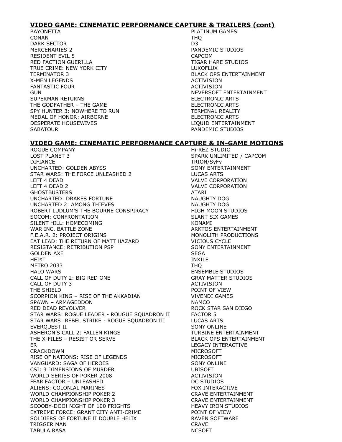#### **VIDEO GAME: CINEMATIC PERFORMANCE CAPTURE & TRAILERS (cont)**

BAYONETTA **PLATINUM GAMES** CONAN THQ DARK SECTOR D3 MERCENARIES 2 PANDEMIC STUDIOS RESIDENT EVIL 5 CAPCOM RED FACTION GUERILLA TIGAR HARE STUDIOS TRUE CRIME: NEW YORK CITY **LUXOFLUX** TERMINATOR 3 BLACK OPS ENTERTAINMENT X-MEN LEGENDS ACTIVISION FANTASTIC FOUR **ACTIVISION** GUN NEVERSOFT ENTERTAINMENT SUPERMAN RETURNS ELECTRONIC ARTS THE GODFATHER – THE GAME ELECTRONIC ARTS SPY HUNTER 3: NOWHERE TO RUN TERMINAL REALITY MEDAL OF HONOR: AIRBORNE ELECTRONIC ARTS DESPERATE HOUSEWIVES LIQUID ENTERTAINMENT SABATOUR **PANDEMIC STUDIOS** 

**VIDEO GAME: CINEMATIC PERFORMANCE CAPTURE & IN-GAME MOTIONS**

ROGUE COMPANY **And COMPANY Hi-REZ STUDIO** LOST PLANET 3 SPARK UNLIMITED / CAPCOM DIFIANCE TRION/SyFy UNCHARTED: GOLDEN ABYSS SONY ENTERTAINMENT STAR WARS: THE FORCE UNLEASHED 2 LUCAS ARTS LEFT 4 DEAD VALVE CORPORATION LEFT 4 DEAD 2 VALVE CORPORATION GHOSTBUSTERS ATARI UNCHARTED: DRAKES FORTUNE NAUGHTY DOG UNCHARTED 2: AMONG THIEVES NAUGHTY DOG ROBERT LUDLUM'S THE BOURNE CONSPIRACY **HIGH MOON STUDIOS** SOCOM: CONFRONTATION SOCOM: SLANT SIX GAMES SILENT HILL: HOMECOMING **KONAMI** WAR INC. BATTLE ZONE ARKTOS ENTERTAINMENT F.E.A.R. 2: PROJECT ORIGINS MONOLITH PRODUCTIONS EAT LEAD: THE RETURN OF MATT HAZARD VICIOUS CYCLE RESISTANCE: RETRIBUTION PSP SONY ENTERTAINMENT GOLDEN AXE SEGA HEI\$T INXILE METRO 2033 THQ HALO WARS **ENSEMBLE STUDIOS** CALL OF DUTY 2: BIG RED ONE GRAY MATTER STUDIOS CALL OF DUTY 3 ACTIVISION THE SHIELD **POINT OF VIEW** SCORPION KING - RISE OF THE AKKADIAN VIVENDI GAMES SPAWN – ARMAGEDDON NAMCO RED DEAD REVOLVER THE ROCK STAR SAN DIEGO STAR WARS: ROGUE LEADER - ROUGUE SQUADRON II FACTOR 5 STAR WARS: REBEL STRIKE - ROGUE SQUADRON III LUCAS ARTS EVERQUEST II SONY ONLINE ASHERON'S CALL 2: FALLEN KINGS TURBINE ENTERTAINMENT THE X-FILES – RESIST OR SERVE **BLACK OPS ENTERTAINMENT** ER LEGACY INTERACTIVE CRACKDOWN MICROSOFT RISE OF NATIONS: RISE OF LEGENDS MICROSOFT VANGUARD: SAGA OF HEROES SONY ONLINE CSI: 3 DIMENSIONS OF MURDER UBISOFT WORLD SERIES OF POKER 2008 ACTIVISION FEAR FACTOR – UNLEASHED DE STUDIOS ALIENS: COLONIAL MARINES FOX INTERACTIVE WORLD CHAMPIONSHIP POKER 2 CRAVE ENTERTAINMENT WORLD CHAMPIONSHIP POKER 3 CRAVE ENTERTAINMENT SCOOBY-DOO! NIGHT OF 100 FRIGHTS HEAVY IRON STUDIOS EXTREME FORCE: GRANT CITY ANTI-CRIME **EXTREME POINT OF VIEW** SOLDIERS OF FORTUNE II DOUBLE HELIX THE RAVEN SOFTWARE TRIGGER MAN **CRAVE** TABULA RASA NCSOFT